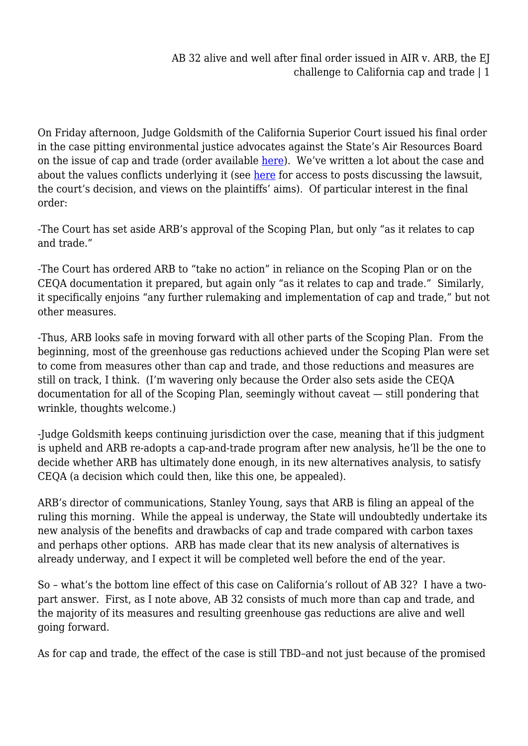On Friday afternoon, Judge Goldsmith of the California Superior Court issued his final order in the case pitting environmental justice advocates against the State's Air Resources Board on the issue of cap and trade (order available [here](http://cdn.law.ucla.edu/SiteCollectionDocuments/Environmental%20Law/AIR_ORDER.PDF)). We've written a lot about the case and about the values conflicts underlying it (see [here](http://legalplanet.wordpress.com/2011/03/28/the-recent-court-decision-blocking-californias-scoping-plan-to-reduce-greenhouse-gas-emissions-one-stop-shopping-for-recent-legal-planet-commentary/) for access to posts discussing the lawsuit, the court's decision, and views on the plaintiffs' aims). Of particular interest in the final order:

-The Court has set aside ARB's approval of the Scoping Plan, but only "as it relates to cap and trade."

-The Court has ordered ARB to "take no action" in reliance on the Scoping Plan or on the CEQA documentation it prepared, but again only "as it relates to cap and trade." Similarly, it specifically enjoins "any further rulemaking and implementation of cap and trade," but not other measures.

-Thus, ARB looks safe in moving forward with all other parts of the Scoping Plan. From the beginning, most of the greenhouse gas reductions achieved under the Scoping Plan were set to come from measures other than cap and trade, and those reductions and measures are still on track, I think. (I'm wavering only because the Order also sets aside the CEQA documentation for all of the Scoping Plan, seemingly without caveat — still pondering that wrinkle, thoughts welcome.)

-Judge Goldsmith keeps continuing jurisdiction over the case, meaning that if this judgment is upheld and ARB re-adopts a cap-and-trade program after new analysis, he'll be the one to decide whether ARB has ultimately done enough, in its new alternatives analysis, to satisfy CEQA (a decision which could then, like this one, be appealed).

ARB's director of communications, Stanley Young, says that ARB is filing an appeal of the ruling this morning. While the appeal is underway, the State will undoubtedly undertake its new analysis of the benefits and drawbacks of cap and trade compared with carbon taxes and perhaps other options. ARB has made clear that its new analysis of alternatives is already underway, and I expect it will be completed well before the end of the year.

So – what's the bottom line effect of this case on California's rollout of AB 32? I have a twopart answer. First, as I note above, AB 32 consists of much more than cap and trade, and the majority of its measures and resulting greenhouse gas reductions are alive and well going forward.

As for cap and trade, the effect of the case is still TBD–and not just because of the promised